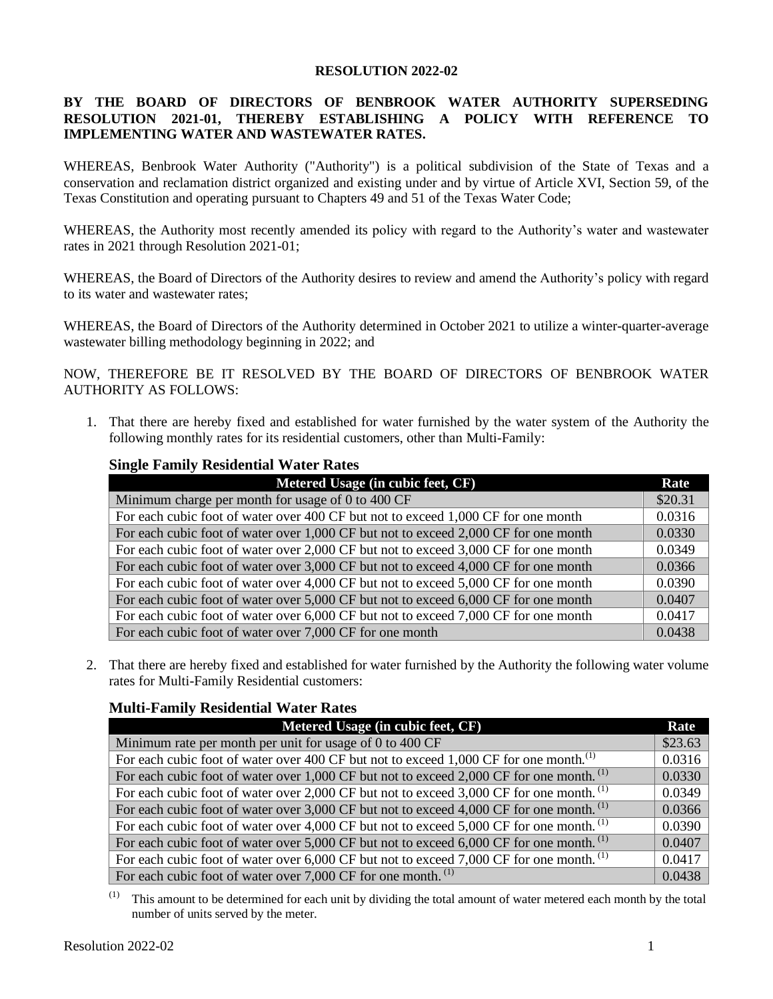#### **RESOLUTION 2022-02**

## **BY THE BOARD OF DIRECTORS OF BENBROOK WATER AUTHORITY SUPERSEDING RESOLUTION 2021-01, THEREBY ESTABLISHING A POLICY WITH REFERENCE TO IMPLEMENTING WATER AND WASTEWATER RATES.**

WHEREAS, Benbrook Water Authority ("Authority") is a political subdivision of the State of Texas and a conservation and reclamation district organized and existing under and by virtue of Article XVI, Section 59, of the Texas Constitution and operating pursuant to Chapters 49 and 51 of the Texas Water Code;

WHEREAS, the Authority most recently amended its policy with regard to the Authority's water and wastewater rates in 2021 through Resolution 2021-01;

WHEREAS, the Board of Directors of the Authority desires to review and amend the Authority's policy with regard to its water and wastewater rates;

WHEREAS, the Board of Directors of the Authority determined in October 2021 to utilize a winter-quarter-average wastewater billing methodology beginning in 2022; and

NOW, THEREFORE BE IT RESOLVED BY THE BOARD OF DIRECTORS OF BENBROOK WATER AUTHORITY AS FOLLOWS:

1. That there are hereby fixed and established for water furnished by the water system of the Authority the following monthly rates for its residential customers, other than Multi-Family:

## **Single Family Residential Water Rates**

| Metered Usage (in cubic feet, CF)                                                   | Rate    |
|-------------------------------------------------------------------------------------|---------|
| Minimum charge per month for usage of 0 to 400 CF                                   | \$20.31 |
| For each cubic foot of water over 400 CF but not to exceed 1,000 CF for one month   | 0.0316  |
| For each cubic foot of water over 1,000 CF but not to exceed 2,000 CF for one month | 0.0330  |
| For each cubic foot of water over 2,000 CF but not to exceed 3,000 CF for one month | 0.0349  |
| For each cubic foot of water over 3,000 CF but not to exceed 4,000 CF for one month | 0.0366  |
| For each cubic foot of water over 4,000 CF but not to exceed 5,000 CF for one month | 0.0390  |
| For each cubic foot of water over 5,000 CF but not to exceed 6,000 CF for one month | 0.0407  |
| For each cubic foot of water over 6,000 CF but not to exceed 7,000 CF for one month | 0.0417  |
| For each cubic foot of water over 7,000 CF for one month                            | 0.0438  |

2. That there are hereby fixed and established for water furnished by the Authority the following water volume rates for Multi-Family Residential customers:

### **Multi-Family Residential Water Rates**

| Metered Usage (in cubic feet, CF)                                                                   | Rate    |
|-----------------------------------------------------------------------------------------------------|---------|
| Minimum rate per month per unit for usage of 0 to 400 CF                                            | \$23.63 |
| For each cubic foot of water over 400 CF but not to exceed 1,000 CF for one month. <sup>(1)</sup>   | 0.0316  |
| For each cubic foot of water over 1,000 CF but not to exceed 2,000 CF for one month. <sup>(1)</sup> | 0.0330  |
| For each cubic foot of water over 2,000 CF but not to exceed 3,000 CF for one month. <sup>(1)</sup> | 0.0349  |
| For each cubic foot of water over 3,000 CF but not to exceed 4,000 CF for one month. <sup>(1)</sup> | 0.0366  |
| For each cubic foot of water over 4,000 CF but not to exceed 5,000 CF for one month. <sup>(1)</sup> | 0.0390  |
| For each cubic foot of water over 5,000 CF but not to exceed 6,000 CF for one month. <sup>(1)</sup> | 0.0407  |
| For each cubic foot of water over 6,000 CF but not to exceed 7,000 CF for one month. <sup>(1)</sup> | 0.0417  |
| For each cubic foot of water over $7,000$ CF for one month. <sup>(1)</sup>                          | 0.0438  |

(1) This amount to be determined for each unit by dividing the total amount of water metered each month by the total number of units served by the meter.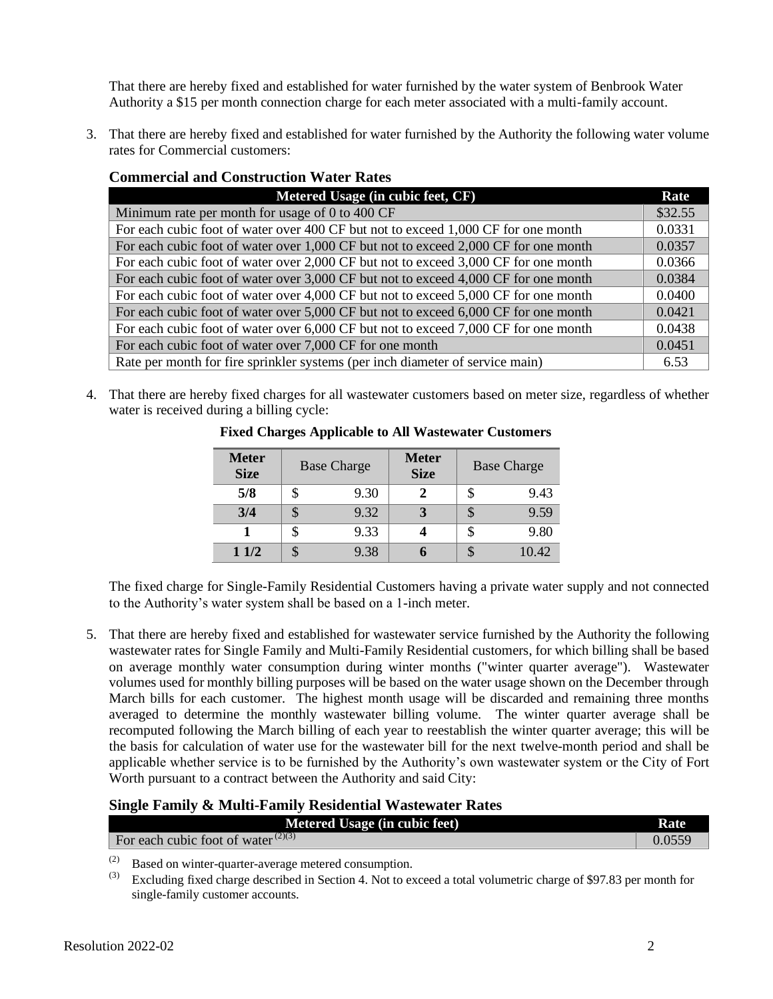That there are hereby fixed and established for water furnished by the water system of Benbrook Water Authority a \$15 per month connection charge for each meter associated with a multi-family account.

3. That there are hereby fixed and established for water furnished by the Authority the following water volume rates for Commercial customers:

| <b>Commercial and Construction Water Rates</b>                                      |         |  |
|-------------------------------------------------------------------------------------|---------|--|
| Metered Usage (in cubic feet, CF)                                                   | Rate    |  |
| Minimum rate per month for usage of 0 to 400 CF                                     | \$32.55 |  |
| For each cubic foot of water over 400 CF but not to exceed 1,000 CF for one month   | 0.0331  |  |
| For each cubic foot of water over 1,000 CF but not to exceed 2,000 CF for one month | 0.0357  |  |
| For each cubic foot of water over 2,000 CF but not to exceed 3,000 CF for one month | 0.0366  |  |
| For each cubic foot of water over 3,000 CF but not to exceed 4,000 CF for one month | 0.0384  |  |
| For each cubic foot of water over 4,000 CF but not to exceed 5,000 CF for one month | 0.0400  |  |
| For each cubic foot of water over 5,000 CF but not to exceed 6,000 CF for one month | 0.0421  |  |
| For each cubic foot of water over 6,000 CF but not to exceed 7,000 CF for one month | 0.0438  |  |
| For each cubic foot of water over 7,000 CF for one month                            | 0.0451  |  |
| Rate per month for fire sprinkler systems (per inch diameter of service main)       | 6.53    |  |

4. That there are hereby fixed charges for all wastewater customers based on meter size, regardless of whether water is received during a billing cycle:

| <b>Meter</b><br><b>Size</b> |   | <b>Base Charge</b> | <b>Meter</b><br><b>Size</b> |   | <b>Base Charge</b> |
|-----------------------------|---|--------------------|-----------------------------|---|--------------------|
| 5/8                         |   | 9.30               |                             |   | 9.43               |
| 3/4                         |   | 9.32               |                             | Ъ | 9.59               |
|                             |   | 9.33               |                             |   | 9.80               |
| 11/2                        | S | 9.38               |                             | S | 10.42              |

## **Fixed Charges Applicable to All Wastewater Customers**

The fixed charge for Single-Family Residential Customers having a private water supply and not connected to the Authority's water system shall be based on a 1-inch meter.

5. That there are hereby fixed and established for wastewater service furnished by the Authority the following wastewater rates for Single Family and Multi-Family Residential customers, for which billing shall be based on average monthly water consumption during winter months ("winter quarter average"). Wastewater volumes used for monthly billing purposes will be based on the water usage shown on the December through March bills for each customer. The highest month usage will be discarded and remaining three months averaged to determine the monthly wastewater billing volume. The winter quarter average shall be recomputed following the March billing of each year to reestablish the winter quarter average; this will be the basis for calculation of water use for the wastewater bill for the next twelve-month period and shall be applicable whether service is to be furnished by the Authority's own wastewater system or the City of Fort Worth pursuant to a contract between the Authority and said City:

# **Single Family & Multi-Family Residential Wastewater Rates**

| <b>Metered Usage (in cubic feet)</b>                        | Rate   |
|-------------------------------------------------------------|--------|
| For each cubic foot of water <sup><math>(2)(3)</math></sup> | 0.0559 |

(2) Based on winter-quarter-average metered consumption.<br>(3) Excluding fixed charge described in Section 4. Not to ex-

Excluding fixed charge described in Section 4. Not to exceed a total volumetric charge of \$97.83 per month for single-family customer accounts.